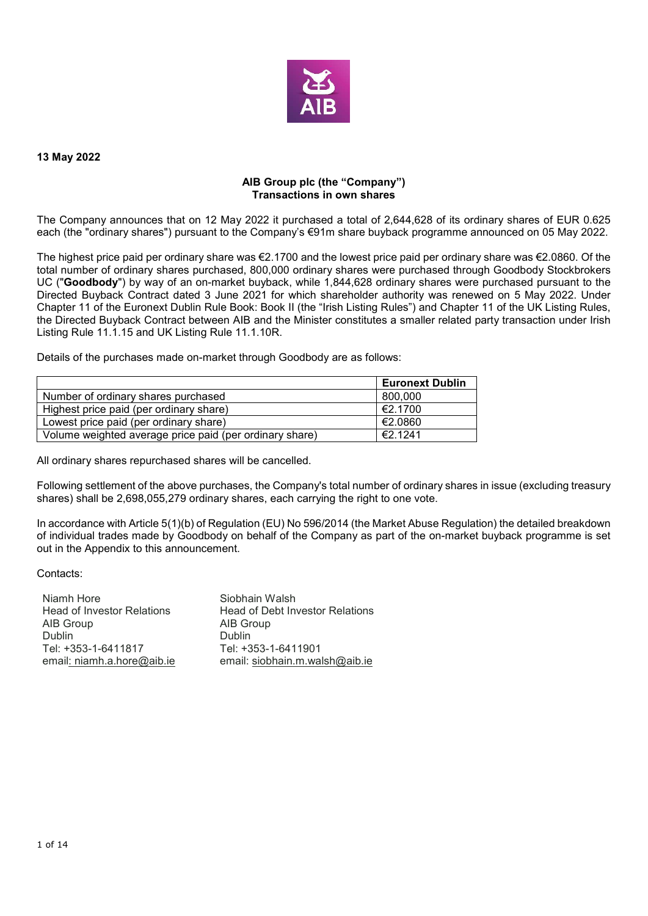

#### **13 May 2022**

### **AIB Group plc (the "Company") Transactions in own shares**

The Company announces that on 12 May 2022 it purchased a total of 2,644,628 of its ordinary shares of EUR 0.625 each (the "ordinary shares") pursuant to the Company's €91m share buyback programme announced on 05 May 2022.

The highest price paid per ordinary share was €2.1700 and the lowest price paid per ordinary share was €2.0860. Of the total number of ordinary shares purchased, 800,000 ordinary shares were purchased through Goodbody Stockbrokers UC ("**Goodbody**") by way of an on-market buyback, while 1,844,628 ordinary shares were purchased pursuant to the Directed Buyback Contract dated 3 June 2021 for which shareholder authority was renewed on 5 May 2022. Under Chapter 11 of the Euronext Dublin Rule Book: Book II (the "Irish Listing Rules") and Chapter 11 of the UK Listing Rules, the Directed Buyback Contract between AIB and the Minister constitutes a smaller related party transaction under Irish Listing Rule 11.1.15 and UK Listing Rule 11.1.10R.

Details of the purchases made on-market through Goodbody are as follows:

|                                                         | <b>Euronext Dublin</b> |
|---------------------------------------------------------|------------------------|
| Number of ordinary shares purchased                     | 800,000                |
| Highest price paid (per ordinary share)                 | €2.1700                |
| Lowest price paid (per ordinary share)                  | €2.0860                |
| Volume weighted average price paid (per ordinary share) | €2.1241                |

All ordinary shares repurchased shares will be cancelled.

Following settlement of the above purchases, the Company's total number of ordinary shares in issue (excluding treasury shares) shall be 2,698,055,279 ordinary shares, each carrying the right to one vote.

In accordance with Article 5(1)(b) of Regulation (EU) No 596/2014 (the Market Abuse Regulation) the detailed breakdown of individual trades made by Goodbody on behalf of the Company as part of the on-market buyback programme is set out in the Appendix to this announcement.

Contacts:

| Niamh Hore                        | Siobhain Walsh                         |
|-----------------------------------|----------------------------------------|
| <b>Head of Investor Relations</b> | <b>Head of Debt Investor Relations</b> |
| AIB Group                         | AIB Group                              |
| <b>Dublin</b>                     | <b>Dublin</b>                          |
| Tel: +353-1-6411817               | Tel: +353-1-6411901                    |
| email: niamh.a.hore@aib.ie        | email: siobhain.m.walsh@aib.ie         |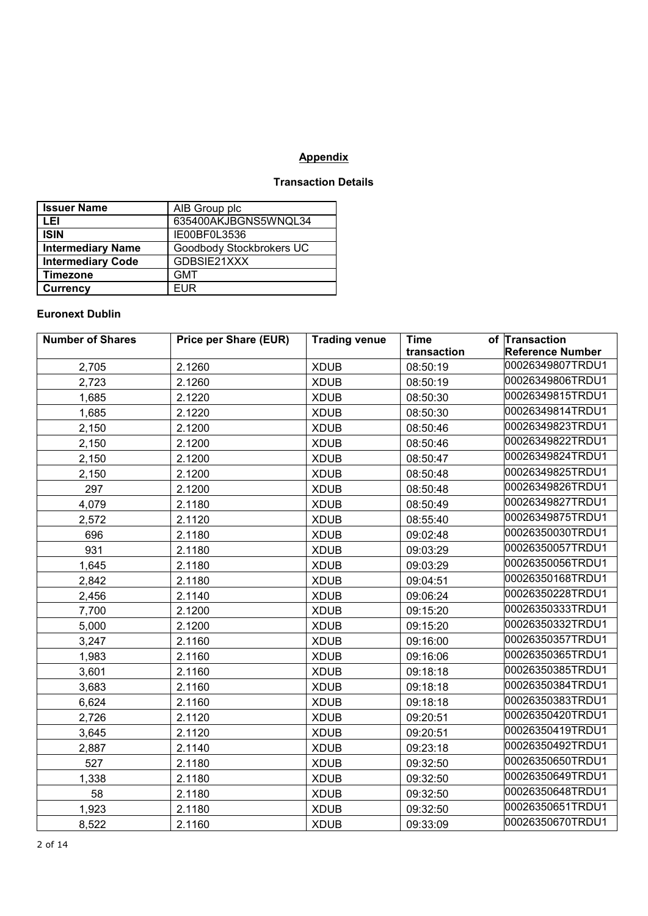# **Appendix**

## **Transaction Details**

| <b>Issuer Name</b>       | AIB Group plc            |
|--------------------------|--------------------------|
| LEI                      | 635400AKJBGNS5WNQL34     |
| <b>ISIN</b>              | IE00BF0L3536             |
| <b>Intermediary Name</b> | Goodbody Stockbrokers UC |
| <b>Intermediary Code</b> | GDBSIE21XXX              |
| <b>Timezone</b>          | <b>GMT</b>               |
| <b>Currency</b>          | FUR                      |

## **Euronext Dublin**

| <b>Number of Shares</b> | <b>Price per Share (EUR)</b> | <b>Trading venue</b> | <b>Time</b> | of Transaction          |
|-------------------------|------------------------------|----------------------|-------------|-------------------------|
|                         |                              |                      | transaction | <b>Reference Number</b> |
| 2,705                   | 2.1260                       | <b>XDUB</b>          | 08:50:19    | 00026349807TRDU1        |
| 2,723                   | 2.1260                       | <b>XDUB</b>          | 08:50:19    | 00026349806TRDU1        |
| 1,685                   | 2.1220                       | <b>XDUB</b>          | 08:50:30    | 00026349815TRDU1        |
| 1,685                   | 2.1220                       | <b>XDUB</b>          | 08:50:30    | 00026349814TRDU1        |
| 2,150                   | 2.1200                       | <b>XDUB</b>          | 08:50:46    | 00026349823TRDU1        |
| 2,150                   | 2.1200                       | <b>XDUB</b>          | 08:50:46    | 00026349822TRDU1        |
| 2,150                   | 2.1200                       | <b>XDUB</b>          | 08:50:47    | 00026349824TRDU1        |
| 2,150                   | 2.1200                       | <b>XDUB</b>          | 08:50:48    | 00026349825TRDU1        |
| 297                     | 2.1200                       | <b>XDUB</b>          | 08:50:48    | 00026349826TRDU1        |
| 4,079                   | 2.1180                       | <b>XDUB</b>          | 08:50:49    | 00026349827TRDU1        |
| 2,572                   | 2.1120                       | <b>XDUB</b>          | 08:55:40    | 00026349875TRDU1        |
| 696                     | 2.1180                       | <b>XDUB</b>          | 09:02:48    | 00026350030TRDU1        |
| 931                     | 2.1180                       | <b>XDUB</b>          | 09:03:29    | 00026350057TRDU1        |
| 1,645                   | 2.1180                       | <b>XDUB</b>          | 09:03:29    | 00026350056TRDU1        |
| 2,842                   | 2.1180                       | <b>XDUB</b>          | 09:04:51    | 00026350168TRDU1        |
| 2,456                   | 2.1140                       | <b>XDUB</b>          | 09:06:24    | 00026350228TRDU1        |
| 7,700                   | 2.1200                       | <b>XDUB</b>          | 09:15:20    | 00026350333TRDU1        |
| 5,000                   | 2.1200                       | <b>XDUB</b>          | 09:15:20    | 00026350332TRDU1        |
| 3,247                   | 2.1160                       | <b>XDUB</b>          | 09:16:00    | 00026350357TRDU1        |
| 1,983                   | 2.1160                       | <b>XDUB</b>          | 09:16:06    | 00026350365TRDU1        |
| 3,601                   | 2.1160                       | <b>XDUB</b>          | 09:18:18    | 00026350385TRDU1        |
| 3,683                   | 2.1160                       | <b>XDUB</b>          | 09:18:18    | 00026350384TRDU1        |
| 6,624                   | 2.1160                       | <b>XDUB</b>          | 09:18:18    | 00026350383TRDU1        |
| 2,726                   | 2.1120                       | <b>XDUB</b>          | 09:20:51    | 00026350420TRDU1        |
| 3,645                   | 2.1120                       | <b>XDUB</b>          | 09:20:51    | 00026350419TRDU1        |
| 2,887                   | 2.1140                       | <b>XDUB</b>          | 09:23:18    | 00026350492TRDU1        |
| 527                     | 2.1180                       | <b>XDUB</b>          | 09:32:50    | 00026350650TRDU1        |
| 1,338                   | 2.1180                       | <b>XDUB</b>          | 09:32:50    | 00026350649TRDU1        |
| 58                      | 2.1180                       | <b>XDUB</b>          | 09:32:50    | 00026350648TRDU1        |
| 1,923                   | 2.1180                       | <b>XDUB</b>          | 09:32:50    | 00026350651TRDU1        |
| 8,522                   | 2.1160                       | <b>XDUB</b>          | 09:33:09    | 00026350670TRDU1        |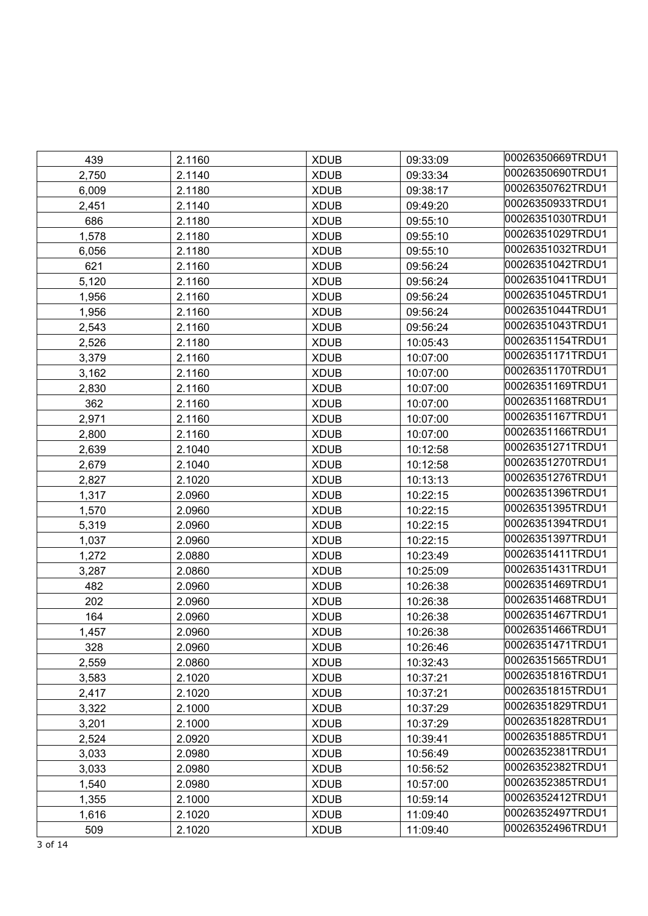| 439   | 2.1160 | <b>XDUB</b> | 09:33:09 | 00026350669TRDU1 |
|-------|--------|-------------|----------|------------------|
| 2,750 | 2.1140 | <b>XDUB</b> | 09:33:34 | 00026350690TRDU1 |
| 6,009 | 2.1180 | <b>XDUB</b> | 09:38:17 | 00026350762TRDU1 |
| 2,451 | 2.1140 | <b>XDUB</b> | 09:49:20 | 00026350933TRDU1 |
| 686   | 2.1180 | <b>XDUB</b> | 09:55:10 | 00026351030TRDU1 |
| 1,578 | 2.1180 | <b>XDUB</b> | 09:55:10 | 00026351029TRDU1 |
| 6,056 | 2.1180 | <b>XDUB</b> | 09:55:10 | 00026351032TRDU1 |
| 621   | 2.1160 | <b>XDUB</b> | 09:56:24 | 00026351042TRDU1 |
| 5,120 | 2.1160 | <b>XDUB</b> | 09:56:24 | 00026351041TRDU1 |
| 1,956 | 2.1160 | <b>XDUB</b> | 09:56:24 | 00026351045TRDU1 |
| 1,956 | 2.1160 | <b>XDUB</b> | 09:56:24 | 00026351044TRDU1 |
| 2,543 | 2.1160 | <b>XDUB</b> | 09:56:24 | 00026351043TRDU1 |
| 2,526 | 2.1180 | <b>XDUB</b> | 10:05:43 | 00026351154TRDU1 |
| 3,379 | 2.1160 | <b>XDUB</b> | 10:07:00 | 00026351171TRDU1 |
| 3,162 | 2.1160 | <b>XDUB</b> | 10:07:00 | 00026351170TRDU1 |
| 2,830 | 2.1160 | <b>XDUB</b> | 10:07:00 | 00026351169TRDU1 |
| 362   | 2.1160 | <b>XDUB</b> | 10:07:00 | 00026351168TRDU1 |
| 2,971 | 2.1160 | <b>XDUB</b> | 10:07:00 | 00026351167TRDU1 |
| 2,800 | 2.1160 | <b>XDUB</b> | 10:07:00 | 00026351166TRDU1 |
| 2,639 | 2.1040 | <b>XDUB</b> | 10:12:58 | 00026351271TRDU1 |
| 2,679 | 2.1040 | <b>XDUB</b> | 10:12:58 | 00026351270TRDU1 |
| 2,827 | 2.1020 | <b>XDUB</b> | 10:13:13 | 00026351276TRDU1 |
| 1,317 | 2.0960 | <b>XDUB</b> | 10:22:15 | 00026351396TRDU1 |
| 1,570 | 2.0960 | <b>XDUB</b> | 10:22:15 | 00026351395TRDU1 |
| 5,319 | 2.0960 | <b>XDUB</b> | 10:22:15 | 00026351394TRDU1 |
| 1,037 | 2.0960 | <b>XDUB</b> | 10:22:15 | 00026351397TRDU1 |
| 1,272 | 2.0880 | <b>XDUB</b> | 10:23:49 | 00026351411TRDU1 |
| 3,287 | 2.0860 | <b>XDUB</b> | 10:25:09 | 00026351431TRDU1 |
| 482   | 2.0960 | <b>XDUB</b> | 10:26:38 | 00026351469TRDU1 |
| 202   | 2.0960 | <b>XDUB</b> | 10:26:38 | 00026351468TRDU1 |
| 164   | 2.0960 | <b>XDUB</b> | 10:26:38 | 00026351467TRDU1 |
| 1,457 | 2.0960 | <b>XDUB</b> | 10:26:38 | 00026351466TRDU1 |
| 328   | 2.0960 | <b>XDUB</b> | 10:26:46 | 00026351471TRDU1 |
| 2,559 | 2.0860 | <b>XDUB</b> | 10:32:43 | 00026351565TRDU1 |
| 3,583 | 2.1020 | <b>XDUB</b> | 10:37:21 | 00026351816TRDU1 |
| 2,417 | 2.1020 | <b>XDUB</b> | 10:37:21 | 00026351815TRDU1 |
| 3,322 | 2.1000 | <b>XDUB</b> | 10:37:29 | 00026351829TRDU1 |
| 3,201 | 2.1000 | <b>XDUB</b> | 10:37:29 | 00026351828TRDU1 |
| 2,524 | 2.0920 | <b>XDUB</b> | 10:39:41 | 00026351885TRDU1 |
| 3,033 | 2.0980 | <b>XDUB</b> | 10:56:49 | 00026352381TRDU1 |
| 3,033 | 2.0980 | <b>XDUB</b> | 10:56:52 | 00026352382TRDU1 |
| 1,540 | 2.0980 | <b>XDUB</b> | 10:57:00 | 00026352385TRDU1 |
| 1,355 | 2.1000 | <b>XDUB</b> | 10:59:14 | 00026352412TRDU1 |
| 1,616 | 2.1020 | <b>XDUB</b> | 11:09:40 | 00026352497TRDU1 |
| 509   | 2.1020 | <b>XDUB</b> | 11:09:40 | 00026352496TRDU1 |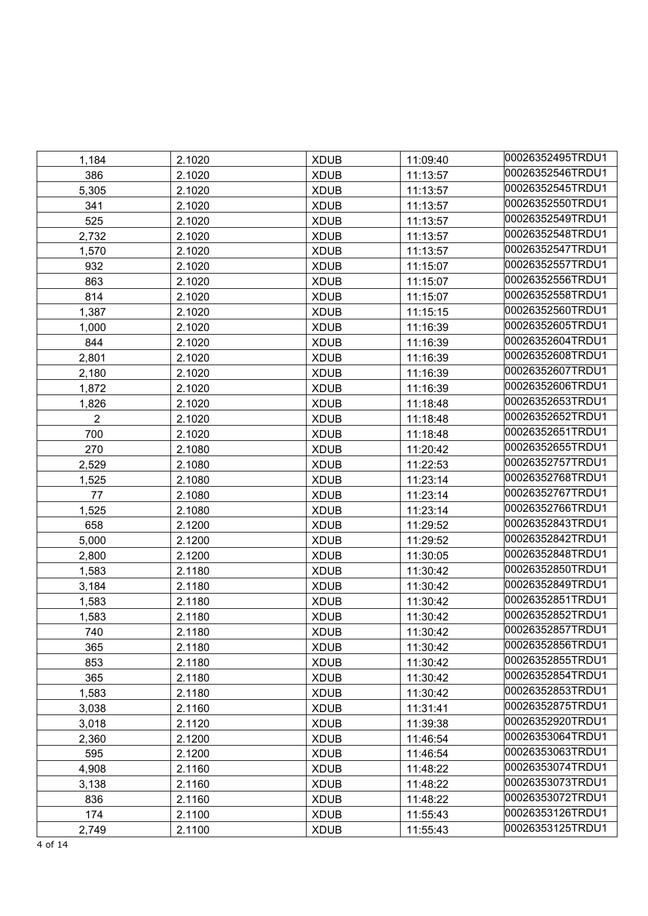| 1,184          | 2.1020 | <b>XDUB</b> | 11:09:40 | 00026352495TRDU1 |
|----------------|--------|-------------|----------|------------------|
| 386            | 2.1020 | <b>XDUB</b> | 11:13:57 | 00026352546TRDU1 |
| 5,305          | 2.1020 | <b>XDUB</b> | 11:13:57 | 00026352545TRDU1 |
| 341            | 2.1020 | <b>XDUB</b> | 11:13:57 | 00026352550TRDU1 |
| 525            | 2.1020 | <b>XDUB</b> | 11:13:57 | 00026352549TRDU1 |
| 2,732          | 2.1020 | <b>XDUB</b> | 11:13:57 | 00026352548TRDU1 |
| 1,570          | 2.1020 | <b>XDUB</b> | 11:13:57 | 00026352547TRDU1 |
| 932            | 2.1020 | <b>XDUB</b> | 11:15:07 | 00026352557TRDU1 |
| 863            | 2.1020 | <b>XDUB</b> | 11:15:07 | 00026352556TRDU1 |
| 814            | 2.1020 | <b>XDUB</b> | 11:15:07 | 00026352558TRDU1 |
| 1,387          | 2.1020 | <b>XDUB</b> | 11:15:15 | 00026352560TRDU1 |
| 1,000          | 2.1020 | <b>XDUB</b> | 11:16:39 | 00026352605TRDU1 |
| 844            | 2.1020 | <b>XDUB</b> | 11:16:39 | 00026352604TRDU1 |
| 2,801          | 2.1020 | <b>XDUB</b> | 11:16:39 | 00026352608TRDU1 |
| 2,180          | 2.1020 | <b>XDUB</b> | 11:16:39 | 00026352607TRDU1 |
| 1,872          | 2.1020 | <b>XDUB</b> | 11:16:39 | 00026352606TRDU1 |
| 1,826          | 2.1020 | <b>XDUB</b> | 11:18:48 | 00026352653TRDU1 |
| $\overline{2}$ | 2.1020 | <b>XDUB</b> | 11:18:48 | 00026352652TRDU1 |
| 700            | 2.1020 | <b>XDUB</b> | 11:18:48 | 00026352651TRDU1 |
| 270            | 2.1080 | <b>XDUB</b> | 11:20:42 | 00026352655TRDU1 |
| 2,529          | 2.1080 | <b>XDUB</b> | 11:22:53 | 00026352757TRDU1 |
| 1,525          | 2.1080 | <b>XDUB</b> | 11:23:14 | 00026352768TRDU1 |
| 77             | 2.1080 | <b>XDUB</b> | 11:23:14 | 00026352767TRDU1 |
| 1,525          | 2.1080 | <b>XDUB</b> | 11:23:14 | 00026352766TRDU1 |
| 658            | 2.1200 | <b>XDUB</b> | 11:29:52 | 00026352843TRDU1 |
| 5,000          | 2.1200 | <b>XDUB</b> | 11:29:52 | 00026352842TRDU1 |
| 2,800          | 2.1200 | <b>XDUB</b> | 11:30:05 | 00026352848TRDU1 |
| 1,583          | 2.1180 | <b>XDUB</b> | 11:30:42 | 00026352850TRDU1 |
| 3,184          | 2.1180 | <b>XDUB</b> | 11:30:42 | 00026352849TRDU1 |
| 1,583          | 2.1180 | <b>XDUB</b> | 11:30:42 | 00026352851TRDU1 |
| 1,583          | 2.1180 | <b>XDUB</b> | 11:30:42 | 00026352852TRDU1 |
| 740            | 2.1180 | <b>XDUB</b> | 11:30:42 | 00026352857TRDU1 |
| 365            | 2.1180 | <b>XDUB</b> | 11:30:42 | 00026352856TRDU1 |
| 853            | 2.1180 | <b>XDUB</b> | 11:30:42 | 00026352855TRDU1 |
| 365            | 2.1180 | <b>XDUB</b> | 11:30:42 | 00026352854TRDU1 |
| 1,583          | 2.1180 | <b>XDUB</b> | 11:30:42 | 00026352853TRDU1 |
| 3,038          | 2.1160 | <b>XDUB</b> | 11:31:41 | 00026352875TRDU1 |
| 3,018          | 2.1120 | <b>XDUB</b> | 11:39:38 | 00026352920TRDU1 |
| 2,360          | 2.1200 | <b>XDUB</b> | 11:46:54 | 00026353064TRDU1 |
| 595            | 2.1200 | <b>XDUB</b> | 11:46:54 | 00026353063TRDU1 |
| 4,908          | 2.1160 | <b>XDUB</b> | 11:48:22 | 00026353074TRDU1 |
| 3,138          | 2.1160 | <b>XDUB</b> | 11:48:22 | 00026353073TRDU1 |
| 836            | 2.1160 | <b>XDUB</b> | 11:48:22 | 00026353072TRDU1 |
| 174            | 2.1100 | <b>XDUB</b> | 11:55:43 | 00026353126TRDU1 |
| 2,749          | 2.1100 | <b>XDUB</b> | 11:55:43 | 00026353125TRDU1 |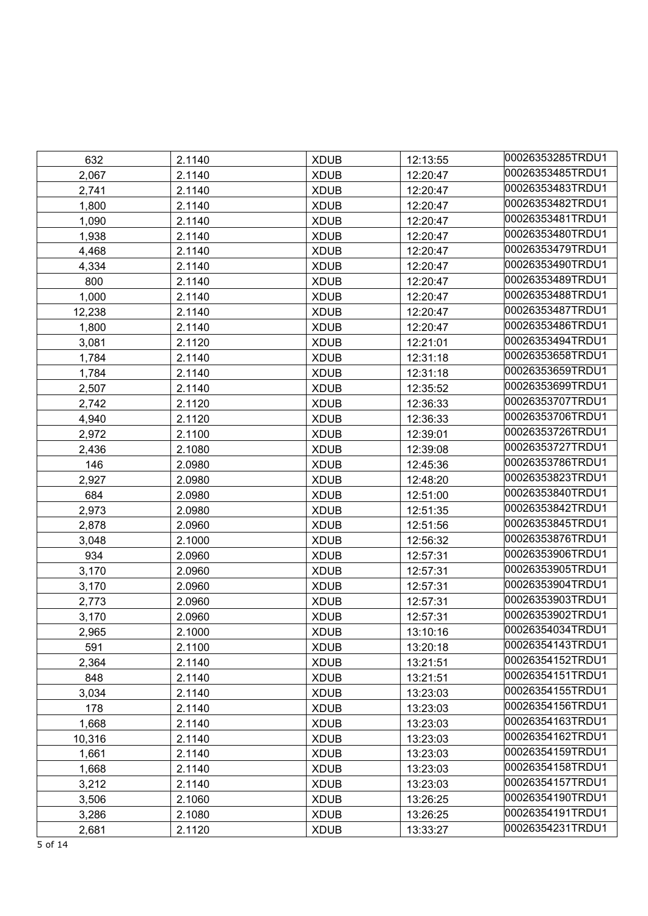| 632    | 2.1140 | <b>XDUB</b> | 12:13:55 | 00026353285TRDU1 |
|--------|--------|-------------|----------|------------------|
| 2,067  | 2.1140 | <b>XDUB</b> | 12:20:47 | 00026353485TRDU1 |
| 2,741  | 2.1140 | <b>XDUB</b> | 12:20:47 | 00026353483TRDU1 |
| 1,800  | 2.1140 | <b>XDUB</b> | 12:20:47 | 00026353482TRDU1 |
| 1,090  | 2.1140 | <b>XDUB</b> | 12:20:47 | 00026353481TRDU1 |
| 1,938  | 2.1140 | <b>XDUB</b> | 12:20:47 | 00026353480TRDU1 |
| 4,468  | 2.1140 | <b>XDUB</b> | 12:20:47 | 00026353479TRDU1 |
| 4,334  | 2.1140 | <b>XDUB</b> | 12:20:47 | 00026353490TRDU1 |
| 800    | 2.1140 | <b>XDUB</b> | 12:20:47 | 00026353489TRDU1 |
| 1,000  | 2.1140 | <b>XDUB</b> | 12:20:47 | 00026353488TRDU1 |
| 12,238 | 2.1140 | <b>XDUB</b> | 12:20:47 | 00026353487TRDU1 |
| 1,800  | 2.1140 | <b>XDUB</b> | 12:20:47 | 00026353486TRDU1 |
| 3,081  | 2.1120 | <b>XDUB</b> | 12:21:01 | 00026353494TRDU1 |
| 1,784  | 2.1140 | <b>XDUB</b> | 12:31:18 | 00026353658TRDU1 |
| 1,784  | 2.1140 | <b>XDUB</b> | 12:31:18 | 00026353659TRDU1 |
| 2,507  | 2.1140 | <b>XDUB</b> | 12:35:52 | 00026353699TRDU1 |
| 2,742  | 2.1120 | <b>XDUB</b> | 12:36:33 | 00026353707TRDU1 |
| 4,940  | 2.1120 | <b>XDUB</b> | 12:36:33 | 00026353706TRDU1 |
| 2,972  | 2.1100 | <b>XDUB</b> | 12:39:01 | 00026353726TRDU1 |
| 2,436  | 2.1080 | <b>XDUB</b> | 12:39:08 | 00026353727TRDU1 |
| 146    | 2.0980 | <b>XDUB</b> | 12:45:36 | 00026353786TRDU1 |
| 2,927  | 2.0980 | <b>XDUB</b> | 12:48:20 | 00026353823TRDU1 |
| 684    | 2.0980 | <b>XDUB</b> | 12:51:00 | 00026353840TRDU1 |
| 2,973  | 2.0980 | <b>XDUB</b> | 12:51:35 | 00026353842TRDU1 |
| 2,878  | 2.0960 | <b>XDUB</b> | 12:51:56 | 00026353845TRDU1 |
| 3,048  | 2.1000 | <b>XDUB</b> | 12:56:32 | 00026353876TRDU1 |
| 934    | 2.0960 | <b>XDUB</b> | 12:57:31 | 00026353906TRDU1 |
| 3,170  | 2.0960 | <b>XDUB</b> | 12:57:31 | 00026353905TRDU1 |
| 3,170  | 2.0960 | <b>XDUB</b> | 12:57:31 | 00026353904TRDU1 |
| 2,773  | 2.0960 | <b>XDUB</b> | 12:57:31 | 00026353903TRDU1 |
| 3,170  | 2.0960 | <b>XDUB</b> | 12:57:31 | 00026353902TRDU1 |
| 2,965  | 2.1000 | <b>XDUB</b> | 13:10:16 | 00026354034TRDU1 |
| 591    | 2.1100 | <b>XDUB</b> | 13:20:18 | 00026354143TRDU1 |
| 2,364  | 2.1140 | <b>XDUB</b> | 13:21:51 | 00026354152TRDU1 |
| 848    | 2.1140 | <b>XDUB</b> | 13:21:51 | 00026354151TRDU1 |
| 3,034  | 2.1140 | <b>XDUB</b> | 13:23:03 | 00026354155TRDU1 |
| 178    | 2.1140 | <b>XDUB</b> | 13:23:03 | 00026354156TRDU1 |
| 1,668  | 2.1140 | <b>XDUB</b> | 13:23:03 | 00026354163TRDU1 |
| 10,316 | 2.1140 | <b>XDUB</b> | 13:23:03 | 00026354162TRDU1 |
| 1,661  | 2.1140 | <b>XDUB</b> | 13:23:03 | 00026354159TRDU1 |
| 1,668  | 2.1140 | <b>XDUB</b> | 13:23:03 | 00026354158TRDU1 |
| 3,212  | 2.1140 | <b>XDUB</b> | 13:23:03 | 00026354157TRDU1 |
| 3,506  | 2.1060 | <b>XDUB</b> | 13:26:25 | 00026354190TRDU1 |
| 3,286  | 2.1080 | <b>XDUB</b> | 13:26:25 | 00026354191TRDU1 |
| 2,681  | 2.1120 | <b>XDUB</b> | 13:33:27 | 00026354231TRDU1 |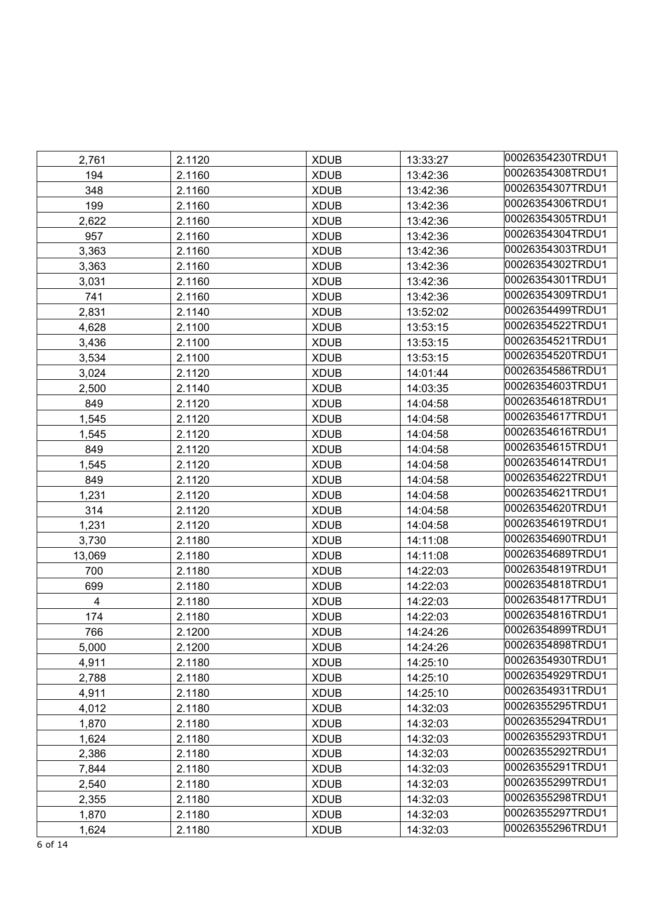|                         |        |             |          | 00026354230TRDU1 |
|-------------------------|--------|-------------|----------|------------------|
| 2,761                   | 2.1120 | <b>XDUB</b> | 13:33:27 | 00026354308TRDU1 |
| 194                     | 2.1160 | <b>XDUB</b> | 13:42:36 | 00026354307TRDU1 |
| 348                     | 2.1160 | <b>XDUB</b> | 13:42:36 | 00026354306TRDU1 |
| 199                     | 2.1160 | <b>XDUB</b> | 13:42:36 |                  |
| 2,622                   | 2.1160 | <b>XDUB</b> | 13:42:36 | 00026354305TRDU1 |
| 957                     | 2.1160 | <b>XDUB</b> | 13:42:36 | 00026354304TRDU1 |
| 3,363                   | 2.1160 | <b>XDUB</b> | 13:42:36 | 00026354303TRDU1 |
| 3,363                   | 2.1160 | <b>XDUB</b> | 13:42:36 | 00026354302TRDU1 |
| 3,031                   | 2.1160 | <b>XDUB</b> | 13:42:36 | 00026354301TRDU1 |
| 741                     | 2.1160 | <b>XDUB</b> | 13:42:36 | 00026354309TRDU1 |
| 2,831                   | 2.1140 | <b>XDUB</b> | 13:52:02 | 00026354499TRDU1 |
| 4,628                   | 2.1100 | <b>XDUB</b> | 13:53:15 | 00026354522TRDU1 |
| 3,436                   | 2.1100 | <b>XDUB</b> | 13:53:15 | 00026354521TRDU1 |
| 3,534                   | 2.1100 | <b>XDUB</b> | 13:53:15 | 00026354520TRDU1 |
| 3,024                   | 2.1120 | <b>XDUB</b> | 14:01:44 | 00026354586TRDU1 |
| 2,500                   | 2.1140 | <b>XDUB</b> | 14:03:35 | 00026354603TRDU1 |
| 849                     | 2.1120 | <b>XDUB</b> | 14:04:58 | 00026354618TRDU1 |
| 1,545                   | 2.1120 | <b>XDUB</b> | 14:04:58 | 00026354617TRDU1 |
| 1,545                   | 2.1120 | <b>XDUB</b> | 14:04:58 | 00026354616TRDU1 |
| 849                     | 2.1120 | <b>XDUB</b> | 14:04:58 | 00026354615TRDU1 |
| 1,545                   | 2.1120 | <b>XDUB</b> | 14:04:58 | 00026354614TRDU1 |
| 849                     | 2.1120 | <b>XDUB</b> | 14:04:58 | 00026354622TRDU1 |
| 1,231                   | 2.1120 | <b>XDUB</b> | 14:04:58 | 00026354621TRDU1 |
| 314                     | 2.1120 | <b>XDUB</b> | 14:04:58 | 00026354620TRDU1 |
| 1,231                   | 2.1120 | <b>XDUB</b> | 14:04:58 | 00026354619TRDU1 |
| 3,730                   | 2.1180 | <b>XDUB</b> | 14:11:08 | 00026354690TRDU1 |
| 13,069                  | 2.1180 | <b>XDUB</b> | 14:11:08 | 00026354689TRDU1 |
| 700                     | 2.1180 | <b>XDUB</b> | 14:22:03 | 00026354819TRDU1 |
| 699                     | 2.1180 | <b>XDUB</b> | 14:22:03 | 00026354818TRDU1 |
| $\overline{\mathbf{4}}$ | 2.1180 | <b>XDUB</b> | 14:22:03 | 00026354817TRDU1 |
| 174                     | 2.1180 | <b>XDUB</b> | 14:22:03 | 00026354816TRDU1 |
| 766                     | 2.1200 | <b>XDUB</b> | 14:24:26 | 00026354899TRDU1 |
| 5,000                   | 2.1200 | <b>XDUB</b> | 14:24:26 | 00026354898TRDU1 |
| 4,911                   | 2.1180 | <b>XDUB</b> | 14:25:10 | 00026354930TRDU1 |
| 2,788                   | 2.1180 | <b>XDUB</b> | 14:25:10 | 00026354929TRDU1 |
| 4,911                   | 2.1180 | <b>XDUB</b> | 14:25:10 | 00026354931TRDU1 |
| 4,012                   | 2.1180 | <b>XDUB</b> | 14:32:03 | 00026355295TRDU1 |
| 1,870                   | 2.1180 | <b>XDUB</b> | 14:32:03 | 00026355294TRDU1 |
| 1,624                   | 2.1180 | <b>XDUB</b> | 14:32:03 | 00026355293TRDU1 |
| 2,386                   | 2.1180 | <b>XDUB</b> | 14:32:03 | 00026355292TRDU1 |
| 7,844                   | 2.1180 | <b>XDUB</b> | 14:32:03 | 00026355291TRDU1 |
| 2,540                   | 2.1180 | <b>XDUB</b> | 14:32:03 | 00026355299TRDU1 |
| 2,355                   | 2.1180 | <b>XDUB</b> | 14:32:03 | 00026355298TRDU1 |
| 1,870                   | 2.1180 | <b>XDUB</b> | 14:32:03 | 00026355297TRDU1 |
| 1,624                   | 2.1180 | <b>XDUB</b> | 14:32:03 | 00026355296TRDU1 |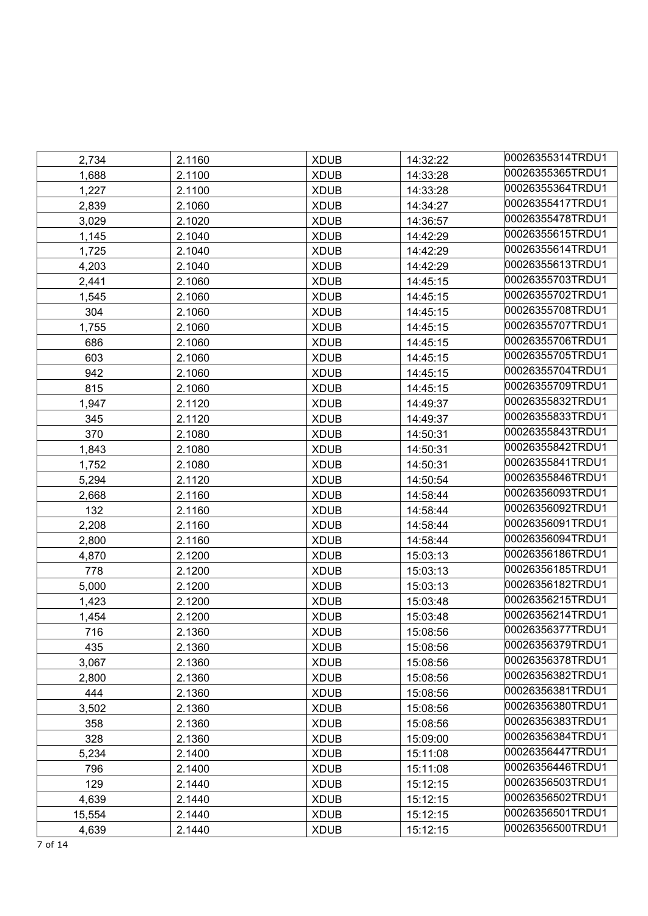| 2,734  | 2.1160 | <b>XDUB</b> | 14:32:22 | 00026355314TRDU1 |
|--------|--------|-------------|----------|------------------|
| 1,688  | 2.1100 | <b>XDUB</b> | 14:33:28 | 00026355365TRDU1 |
| 1,227  | 2.1100 | <b>XDUB</b> | 14:33:28 | 00026355364TRDU1 |
| 2,839  | 2.1060 | <b>XDUB</b> | 14:34:27 | 00026355417TRDU1 |
| 3,029  | 2.1020 | <b>XDUB</b> | 14:36:57 | 00026355478TRDU1 |
| 1,145  | 2.1040 | <b>XDUB</b> | 14:42:29 | 00026355615TRDU1 |
| 1,725  | 2.1040 | <b>XDUB</b> | 14:42:29 | 00026355614TRDU1 |
| 4,203  | 2.1040 | <b>XDUB</b> | 14:42:29 | 00026355613TRDU1 |
| 2,441  | 2.1060 | <b>XDUB</b> | 14:45:15 | 00026355703TRDU1 |
| 1,545  | 2.1060 | <b>XDUB</b> | 14:45:15 | 00026355702TRDU1 |
| 304    | 2.1060 | <b>XDUB</b> | 14:45:15 | 00026355708TRDU1 |
| 1,755  | 2.1060 | <b>XDUB</b> | 14:45:15 | 00026355707TRDU1 |
| 686    | 2.1060 | <b>XDUB</b> | 14:45:15 | 00026355706TRDU1 |
| 603    | 2.1060 | <b>XDUB</b> | 14:45:15 | 00026355705TRDU1 |
| 942    | 2.1060 | <b>XDUB</b> | 14:45:15 | 00026355704TRDU1 |
| 815    | 2.1060 | <b>XDUB</b> | 14:45:15 | 00026355709TRDU1 |
| 1,947  | 2.1120 | <b>XDUB</b> | 14:49:37 | 00026355832TRDU1 |
| 345    | 2.1120 | <b>XDUB</b> | 14:49:37 | 00026355833TRDU1 |
| 370    | 2.1080 | <b>XDUB</b> | 14:50:31 | 00026355843TRDU1 |
| 1,843  | 2.1080 | <b>XDUB</b> | 14:50:31 | 00026355842TRDU1 |
| 1,752  | 2.1080 | <b>XDUB</b> | 14:50:31 | 00026355841TRDU1 |
| 5,294  | 2.1120 | <b>XDUB</b> | 14:50:54 | 00026355846TRDU1 |
| 2,668  | 2.1160 | <b>XDUB</b> | 14:58:44 | 00026356093TRDU1 |
| 132    | 2.1160 | <b>XDUB</b> | 14:58:44 | 00026356092TRDU1 |
| 2,208  | 2.1160 | <b>XDUB</b> | 14:58:44 | 00026356091TRDU1 |
| 2,800  | 2.1160 | <b>XDUB</b> | 14:58:44 | 00026356094TRDU1 |
| 4,870  | 2.1200 | <b>XDUB</b> | 15:03:13 | 00026356186TRDU1 |
| 778    | 2.1200 | <b>XDUB</b> | 15:03:13 | 00026356185TRDU1 |
| 5,000  | 2.1200 | <b>XDUB</b> | 15:03:13 | 00026356182TRDU1 |
| 1,423  | 2.1200 | <b>XDUB</b> | 15:03:48 | 00026356215TRDU1 |
| 1,454  | 2.1200 | <b>XDUB</b> | 15:03:48 | 00026356214TRDU1 |
| 716    | 2.1360 | <b>XDUB</b> | 15:08:56 | 00026356377TRDU1 |
| 435    | 2.1360 | <b>XDUB</b> | 15:08:56 | 00026356379TRDU1 |
| 3,067  | 2.1360 | <b>XDUB</b> | 15:08:56 | 00026356378TRDU1 |
| 2,800  | 2.1360 | <b>XDUB</b> | 15:08:56 | 00026356382TRDU1 |
| 444    | 2.1360 | <b>XDUB</b> | 15:08:56 | 00026356381TRDU1 |
| 3,502  | 2.1360 | <b>XDUB</b> | 15:08:56 | 00026356380TRDU1 |
| 358    | 2.1360 | <b>XDUB</b> | 15:08:56 | 00026356383TRDU1 |
| 328    | 2.1360 | <b>XDUB</b> | 15:09:00 | 00026356384TRDU1 |
| 5,234  | 2.1400 | <b>XDUB</b> | 15:11:08 | 00026356447TRDU1 |
| 796    | 2.1400 | <b>XDUB</b> | 15:11:08 | 00026356446TRDU1 |
| 129    | 2.1440 | <b>XDUB</b> | 15:12:15 | 00026356503TRDU1 |
| 4,639  | 2.1440 | <b>XDUB</b> | 15:12:15 | 00026356502TRDU1 |
| 15,554 | 2.1440 | <b>XDUB</b> | 15:12:15 | 00026356501TRDU1 |
| 4,639  | 2.1440 | <b>XDUB</b> | 15:12:15 | 00026356500TRDU1 |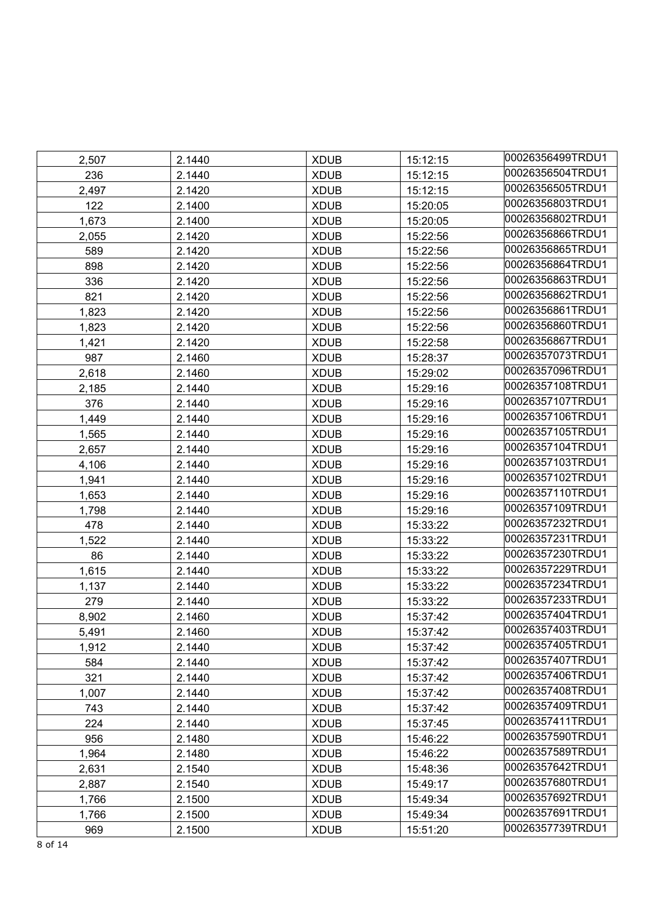| 2,507 | 2.1440 | <b>XDUB</b> | 15:12:15 | 00026356499TRDU1 |
|-------|--------|-------------|----------|------------------|
| 236   | 2.1440 | <b>XDUB</b> | 15:12:15 | 00026356504TRDU1 |
| 2,497 | 2.1420 | <b>XDUB</b> | 15:12:15 | 00026356505TRDU1 |
| 122   | 2.1400 | <b>XDUB</b> | 15:20:05 | 00026356803TRDU1 |
| 1,673 | 2.1400 | <b>XDUB</b> | 15:20:05 | 00026356802TRDU1 |
| 2,055 | 2.1420 | <b>XDUB</b> | 15:22:56 | 00026356866TRDU1 |
| 589   | 2.1420 | <b>XDUB</b> | 15:22:56 | 00026356865TRDU1 |
| 898   | 2.1420 | <b>XDUB</b> | 15:22:56 | 00026356864TRDU1 |
| 336   | 2.1420 | <b>XDUB</b> | 15:22:56 | 00026356863TRDU1 |
| 821   | 2.1420 | <b>XDUB</b> | 15:22:56 | 00026356862TRDU1 |
| 1,823 | 2.1420 | <b>XDUB</b> | 15:22:56 | 00026356861TRDU1 |
| 1,823 | 2.1420 | <b>XDUB</b> | 15:22:56 | 00026356860TRDU1 |
| 1,421 | 2.1420 | <b>XDUB</b> | 15:22:58 | 00026356867TRDU1 |
| 987   | 2.1460 | <b>XDUB</b> | 15:28:37 | 00026357073TRDU1 |
| 2,618 | 2.1460 | <b>XDUB</b> | 15:29:02 | 00026357096TRDU1 |
| 2,185 | 2.1440 | <b>XDUB</b> | 15:29:16 | 00026357108TRDU1 |
| 376   | 2.1440 | <b>XDUB</b> | 15:29:16 | 00026357107TRDU1 |
| 1,449 | 2.1440 | <b>XDUB</b> | 15:29:16 | 00026357106TRDU1 |
| 1,565 | 2.1440 | <b>XDUB</b> | 15:29:16 | 00026357105TRDU1 |
| 2,657 | 2.1440 | <b>XDUB</b> | 15:29:16 | 00026357104TRDU1 |
| 4,106 | 2.1440 | <b>XDUB</b> | 15:29:16 | 00026357103TRDU1 |
| 1,941 | 2.1440 | <b>XDUB</b> | 15:29:16 | 00026357102TRDU1 |
| 1,653 | 2.1440 | <b>XDUB</b> | 15:29:16 | 00026357110TRDU1 |
| 1,798 | 2.1440 | <b>XDUB</b> | 15:29:16 | 00026357109TRDU1 |
| 478   | 2.1440 | <b>XDUB</b> | 15:33:22 | 00026357232TRDU1 |
| 1,522 | 2.1440 | <b>XDUB</b> | 15:33:22 | 00026357231TRDU1 |
| 86    | 2.1440 | <b>XDUB</b> | 15:33:22 | 00026357230TRDU1 |
| 1,615 | 2.1440 | <b>XDUB</b> | 15:33:22 | 00026357229TRDU1 |
| 1,137 | 2.1440 | <b>XDUB</b> | 15:33:22 | 00026357234TRDU1 |
| 279   | 2.1440 | <b>XDUB</b> | 15:33:22 | 00026357233TRDU1 |
| 8,902 | 2.1460 | <b>XDUB</b> | 15:37:42 | 00026357404TRDU1 |
| 5,491 | 2.1460 | <b>XDUB</b> | 15:37:42 | 00026357403TRDU1 |
| 1,912 | 2.1440 | <b>XDUB</b> | 15:37:42 | 00026357405TRDU1 |
| 584   | 2.1440 | <b>XDUB</b> | 15:37:42 | 00026357407TRDU1 |
| 321   | 2.1440 | <b>XDUB</b> | 15:37:42 | 00026357406TRDU1 |
| 1,007 | 2.1440 | <b>XDUB</b> | 15:37:42 | 00026357408TRDU1 |
| 743   | 2.1440 | <b>XDUB</b> | 15:37:42 | 00026357409TRDU1 |
| 224   | 2.1440 | <b>XDUB</b> | 15:37:45 | 00026357411TRDU1 |
| 956   | 2.1480 | <b>XDUB</b> | 15:46:22 | 00026357590TRDU1 |
| 1,964 | 2.1480 | <b>XDUB</b> | 15:46:22 | 00026357589TRDU1 |
| 2,631 | 2.1540 | <b>XDUB</b> | 15:48:36 | 00026357642TRDU1 |
| 2,887 | 2.1540 | <b>XDUB</b> | 15:49:17 | 00026357680TRDU1 |
| 1,766 | 2.1500 | <b>XDUB</b> | 15:49:34 | 00026357692TRDU1 |
| 1,766 | 2.1500 | <b>XDUB</b> | 15:49:34 | 00026357691TRDU1 |
| 969   | 2.1500 | <b>XDUB</b> | 15:51:20 | 00026357739TRDU1 |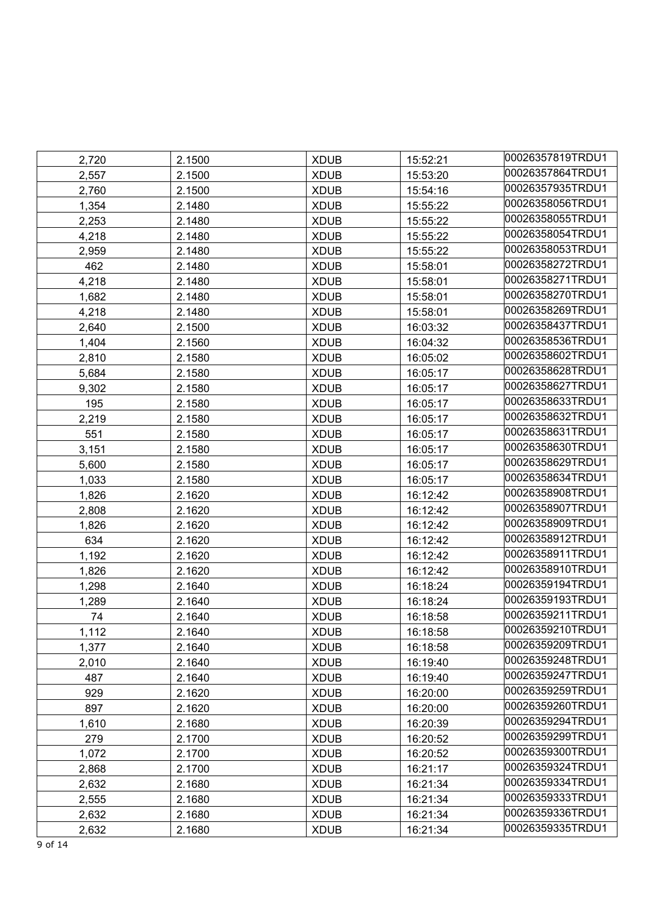| 2,720 | 2.1500 | <b>XDUB</b> | 15:52:21 | 00026357819TRDU1 |
|-------|--------|-------------|----------|------------------|
| 2,557 | 2.1500 | <b>XDUB</b> | 15:53:20 | 00026357864TRDU1 |
| 2,760 | 2.1500 | <b>XDUB</b> | 15:54:16 | 00026357935TRDU1 |
| 1,354 | 2.1480 | <b>XDUB</b> | 15:55:22 | 00026358056TRDU1 |
| 2,253 | 2.1480 | <b>XDUB</b> | 15:55:22 | 00026358055TRDU1 |
| 4,218 | 2.1480 | <b>XDUB</b> | 15:55:22 | 00026358054TRDU1 |
| 2,959 | 2.1480 | <b>XDUB</b> | 15:55:22 | 00026358053TRDU1 |
| 462   | 2.1480 | <b>XDUB</b> | 15:58:01 | 00026358272TRDU1 |
| 4,218 | 2.1480 | <b>XDUB</b> | 15:58:01 | 00026358271TRDU1 |
| 1,682 | 2.1480 | <b>XDUB</b> | 15:58:01 | 00026358270TRDU1 |
| 4,218 | 2.1480 | <b>XDUB</b> | 15:58:01 | 00026358269TRDU1 |
| 2,640 | 2.1500 | <b>XDUB</b> | 16:03:32 | 00026358437TRDU1 |
| 1,404 | 2.1560 | <b>XDUB</b> | 16:04:32 | 00026358536TRDU1 |
| 2,810 | 2.1580 | <b>XDUB</b> | 16:05:02 | 00026358602TRDU1 |
| 5,684 | 2.1580 | <b>XDUB</b> | 16:05:17 | 00026358628TRDU1 |
| 9,302 | 2.1580 | <b>XDUB</b> | 16:05:17 | 00026358627TRDU1 |
| 195   | 2.1580 | <b>XDUB</b> | 16:05:17 | 00026358633TRDU1 |
| 2,219 | 2.1580 | <b>XDUB</b> | 16:05:17 | 00026358632TRDU1 |
| 551   | 2.1580 | <b>XDUB</b> | 16:05:17 | 00026358631TRDU1 |
| 3,151 | 2.1580 | <b>XDUB</b> | 16:05:17 | 00026358630TRDU1 |
| 5,600 | 2.1580 | <b>XDUB</b> | 16:05:17 | 00026358629TRDU1 |
| 1,033 | 2.1580 | <b>XDUB</b> | 16:05:17 | 00026358634TRDU1 |
| 1,826 | 2.1620 | <b>XDUB</b> | 16:12:42 | 00026358908TRDU1 |
| 2,808 | 2.1620 | <b>XDUB</b> | 16:12:42 | 00026358907TRDU1 |
| 1,826 | 2.1620 | <b>XDUB</b> | 16:12:42 | 00026358909TRDU1 |
| 634   | 2.1620 | <b>XDUB</b> | 16:12:42 | 00026358912TRDU1 |
| 1,192 | 2.1620 | <b>XDUB</b> | 16:12:42 | 00026358911TRDU1 |
| 1,826 | 2.1620 | <b>XDUB</b> | 16:12:42 | 00026358910TRDU1 |
| 1,298 | 2.1640 | <b>XDUB</b> | 16:18:24 | 00026359194TRDU1 |
| 1,289 | 2.1640 | <b>XDUB</b> | 16:18:24 | 00026359193TRDU1 |
| 74    | 2.1640 | <b>XDUB</b> | 16:18:58 | 00026359211TRDU1 |
| 1,112 | 2.1640 | <b>XDUB</b> | 16:18:58 | 00026359210TRDU1 |
| 1,377 | 2.1640 | <b>XDUB</b> | 16:18:58 | 00026359209TRDU1 |
| 2,010 | 2.1640 | <b>XDUB</b> | 16:19:40 | 00026359248TRDU1 |
| 487   | 2.1640 | <b>XDUB</b> | 16:19:40 | 00026359247TRDU1 |
| 929   | 2.1620 | <b>XDUB</b> | 16:20:00 | 00026359259TRDU1 |
| 897   | 2.1620 | <b>XDUB</b> | 16:20:00 | 00026359260TRDU1 |
| 1,610 | 2.1680 | <b>XDUB</b> | 16:20:39 | 00026359294TRDU1 |
| 279   | 2.1700 | <b>XDUB</b> | 16:20:52 | 00026359299TRDU1 |
| 1,072 | 2.1700 | <b>XDUB</b> | 16:20:52 | 00026359300TRDU1 |
| 2,868 | 2.1700 | <b>XDUB</b> | 16:21:17 | 00026359324TRDU1 |
| 2,632 | 2.1680 | <b>XDUB</b> | 16:21:34 | 00026359334TRDU1 |
| 2,555 | 2.1680 | <b>XDUB</b> | 16:21:34 | 00026359333TRDU1 |
| 2,632 | 2.1680 | <b>XDUB</b> | 16:21:34 | 00026359336TRDU1 |
| 2,632 | 2.1680 | <b>XDUB</b> | 16:21:34 | 00026359335TRDU1 |